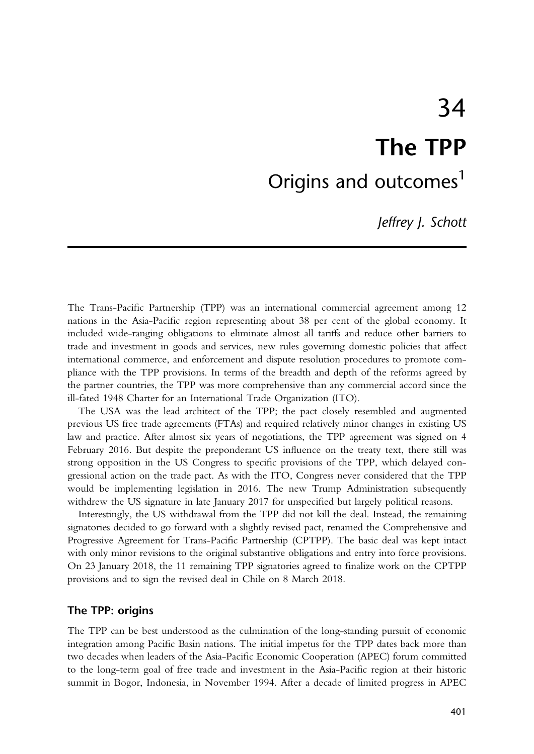# <span id="page-0-0"></span>34 The TPP Origins and outcomes<sup>[1](#page-10-0)</sup>

Jeffrey J. Schott

The Trans-Pacific Partnership (TPP) was an international commercial agreement among 12 nations in the Asia-Pacific region representing about 38 per cent of the global economy. It included wide-ranging obligations to eliminate almost all tariffs and reduce other barriers to trade and investment in goods and services, new rules governing domestic policies that affect international commerce, and enforcement and dispute resolution procedures to promote compliance with the TPP provisions. In terms of the breadth and depth of the reforms agreed by the partner countries, the TPP was more comprehensive than any commercial accord since the ill-fated 1948 Charter for an International Trade Organization (ITO).

The USA was the lead architect of the TPP; the pact closely resembled and augmented previous US free trade agreements (FTAs) and required relatively minor changes in existing US law and practice. After almost six years of negotiations, the TPP agreement was signed on 4 February 2016. But despite the preponderant US influence on the treaty text, there still was strong opposition in the US Congress to specific provisions of the TPP, which delayed congressional action on the trade pact. As with the ITO, Congress never considered that the TPP would be implementing legislation in 2016. The new Trump Administration subsequently withdrew the US signature in late January 2017 for unspecified but largely political reasons.

Interestingly, the US withdrawal from the TPP did not kill the deal. Instead, the remaining signatories decided to go forward with a slightly revised pact, renamed the Comprehensive and Progressive Agreement for Trans-Pacific Partnership (CPTPP). The basic deal was kept intact with only minor revisions to the original substantive obligations and entry into force provisions. On 23 January 2018, the 11 remaining TPP signatories agreed to finalize work on the CPTPP provisions and to sign the revised deal in Chile on 8 March 2018.

# The TPP: origins

The TPP can be best understood as the culmination of the long-standing pursuit of economic integration among Pacific Basin nations. The initial impetus for the TPP dates back more than two decades when leaders of the Asia-Pacific Economic Cooperation (APEC) forum committed to the long-term goal of free trade and investment in the Asia-Pacific region at their historic summit in Bogor, Indonesia, in November 1994. After a decade of limited progress in APEC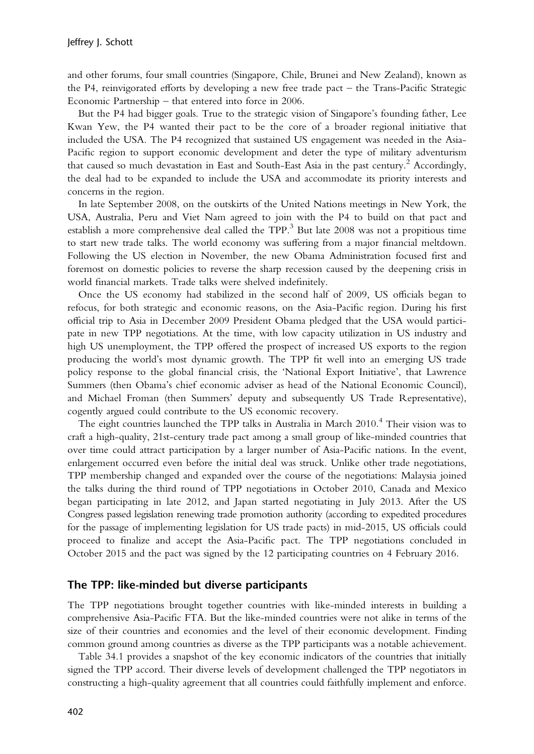<span id="page-1-0"></span>and other forums, four small countries (Singapore, Chile, Brunei and New Zealand), known as the P4, reinvigorated efforts by developing a new free trade pact – the Trans-Pacific Strategic Economic Partnership – that entered into force in 2006.

But the P4 had bigger goals. True to the strategic vision of Singapore's founding father, Lee Kwan Yew, the P4 wanted their pact to be the core of a broader regional initiative that included the USA. The P4 recognized that sustained US engagement was needed in the Asia-Pacific region to support economic development and deter the type of military adventurism that caused so much devastation in East and South-East Asia in the past century.<sup>[2](#page-10-0)</sup> Accordingly, the deal had to be expanded to include the USA and accommodate its priority interests and concerns in the region.

In late September 2008, on the outskirts of the United Nations meetings in New York, the USA, Australia, Peru and Viet Nam agreed to join with the P4 to build on that pact and establish a more comprehensive deal called the TPP.<sup>[3](#page-10-0)</sup> But late 2008 was not a propitious time to start new trade talks. The world economy was suffering from a major financial meltdown. Following the US election in November, the new Obama Administration focused first and foremost on domestic policies to reverse the sharp recession caused by the deepening crisis in world financial markets. Trade talks were shelved indefinitely.

Once the US economy had stabilized in the second half of 2009, US officials began to refocus, for both strategic and economic reasons, on the Asia-Pacific region. During his first official trip to Asia in December 2009 President Obama pledged that the USA would participate in new TPP negotiations. At the time, with low capacity utilization in US industry and high US unemployment, the TPP offered the prospect of increased US exports to the region producing the world's most dynamic growth. The TPP fit well into an emerging US trade policy response to the global financial crisis, the 'National Export Initiative', that Lawrence Summers (then Obama's chief economic adviser as head of the National Economic Council), and Michael Froman (then Summers' deputy and subsequently US Trade Representative), cogently argued could contribute to the US economic recovery.

The eight countries launched the TPP talks in Australia in March 2010.<sup>[4](#page-10-0)</sup> Their vision was to craft a high-quality, 21st-century trade pact among a small group of like-minded countries that over time could attract participation by a larger number of Asia-Pacific nations. In the event, enlargement occurred even before the initial deal was struck. Unlike other trade negotiations, TPP membership changed and expanded over the course of the negotiations: Malaysia joined the talks during the third round of TPP negotiations in October 2010, Canada and Mexico began participating in late 2012, and Japan started negotiating in July 2013. After the US Congress passed legislation renewing trade promotion authority (according to expedited procedures for the passage of implementing legislation for US trade pacts) in mid-2015, US officials could proceed to finalize and accept the Asia-Pacific pact. The TPP negotiations concluded in October 2015 and the pact was signed by the 12 participating countries on 4 February 2016.

#### The TPP: like-minded but diverse participants

The TPP negotiations brought together countries with like-minded interests in building a comprehensive Asia-Pacific FTA. But the like-minded countries were not alike in terms of the size of their countries and economies and the level of their economic development. Finding common ground among countries as diverse as the TPP participants was a notable achievement.

Table 34.1 provides a snapshot of the key economic indicators of the countries that initially signed the TPP accord. Their diverse levels of development challenged the TPP negotiators in constructing a high-quality agreement that all countries could faithfully implement and enforce.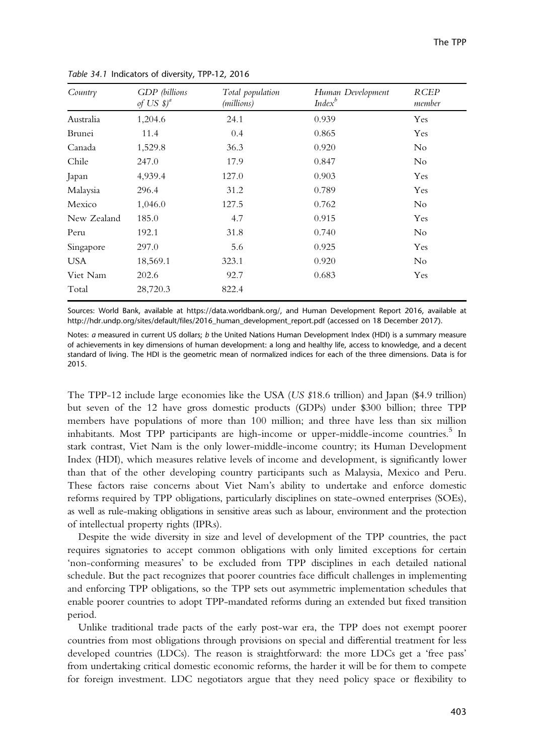| Country     | GDP (billions<br>of US $\mathcal{S})^d$ | Total population<br>(millions) | Human Development<br>$Index^b$ | <b>RCEP</b><br>member |
|-------------|-----------------------------------------|--------------------------------|--------------------------------|-----------------------|
| Australia   | 1,204.6                                 | 24.1                           | 0.939                          | Yes                   |
| Brunei      | 11.4                                    | 0.4                            | 0.865                          | Yes                   |
| Canada      | 1,529.8                                 | 36.3                           | 0.920                          | $\rm No$              |
| Chile       | 247.0                                   | 17.9                           | 0.847                          | No                    |
| Japan       | 4,939.4                                 | 127.0                          | 0.903                          | Yes                   |
| Malaysia    | 296.4                                   | 31.2                           | 0.789                          | Yes                   |
| Mexico      | 1,046.0                                 | 127.5                          | 0.762                          | N <sub>o</sub>        |
| New Zealand | 185.0                                   | 4.7                            | 0.915                          | Yes                   |
| Peru        | 192.1                                   | 31.8                           | 0.740                          | N <sub>o</sub>        |
| Singapore   | 297.0                                   | 5.6                            | 0.925                          | Yes                   |
| <b>USA</b>  | 18,569.1                                | 323.1                          | 0.920                          | N <sub>o</sub>        |
| Viet Nam    | 202.6                                   | 92.7                           | 0.683                          | Yes                   |
| Total       | 28,720.3                                | 822.4                          |                                |                       |

<span id="page-2-0"></span>Table 34.1 Indicators of diversity, TPP-12, 2016

Sources: World Bank, available at https://data.worldbank.org/, and Human Development Report 2016, available at http://hdr.undp.org/sites/default/files/2016\_human\_development\_report.pdf (accessed on 18 December 2017).

Notes: a measured in current US dollars; b the United Nations Human Development Index (HDI) is a summary measure of achievements in key dimensions of human development: a long and healthy life, access to knowledge, and a decent standard of living. The HDI is the geometric mean of normalized indices for each of the three dimensions. Data is for 2015.

The TPP-12 include large economies like the USA (US \$18.6 trillion) and Japan (\$4.9 trillion) but seven of the 12 have gross domestic products (GDPs) under \$300 billion; three TPP members have populations of more than 100 million; and three have less than six million inhabitants. Most TPP participants are high-income or upper-middle-income countries.<sup>[5](#page-10-0)</sup> In stark contrast, Viet Nam is the only lower-middle-income country; its Human Development Index (HDI), which measures relative levels of income and development, is significantly lower than that of the other developing country participants such as Malaysia, Mexico and Peru. These factors raise concerns about Viet Nam's ability to undertake and enforce domestic reforms required by TPP obligations, particularly disciplines on state-owned enterprises (SOEs), as well as rule-making obligations in sensitive areas such as labour, environment and the protection of intellectual property rights (IPRs).

Despite the wide diversity in size and level of development of the TPP countries, the pact requires signatories to accept common obligations with only limited exceptions for certain 'non-conforming measures' to be excluded from TPP disciplines in each detailed national schedule. But the pact recognizes that poorer countries face difficult challenges in implementing and enforcing TPP obligations, so the TPP sets out asymmetric implementation schedules that enable poorer countries to adopt TPP-mandated reforms during an extended but fixed transition period.

Unlike traditional trade pacts of the early post-war era, the TPP does not exempt poorer countries from most obligations through provisions on special and differential treatment for less developed countries (LDCs). The reason is straightforward: the more LDCs get a 'free pass' from undertaking critical domestic economic reforms, the harder it will be for them to compete for foreign investment. LDC negotiators argue that they need policy space or flexibility to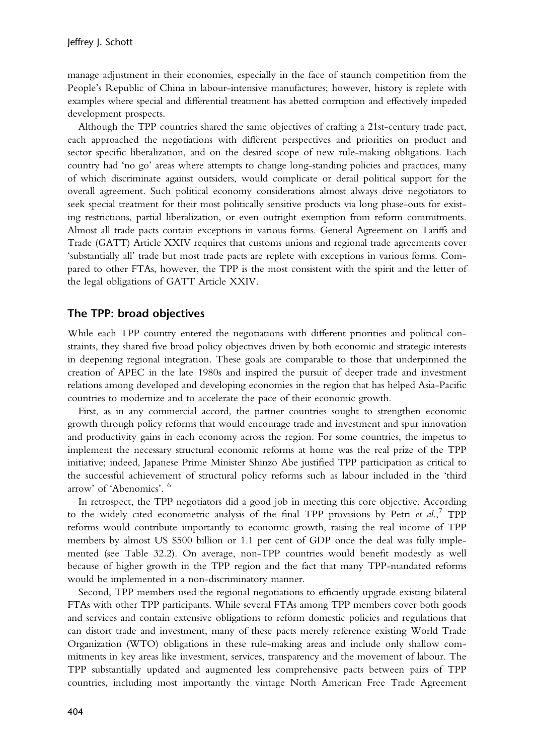<span id="page-3-0"></span>manage adjustment in their economies, especially in the face of staunch competition from the People's Republic of China in labour-intensive manufactures; however, history is replete with examples where special and differential treatment has abetted corruption and effectively impeded development prospects.

Although the TPP countries shared the same objectives of crafting a 21st-century trade pact, each approached the negotiations with different perspectives and priorities on product and sector specific liberalization, and on the desired scope of new rule-making obligations. Each country had 'no go' areas where attempts to change long-standing policies and practices, many of which discriminate against outsiders, would complicate or derail political support for the overall agreement. Such political economy considerations almost always drive negotiators to seek special treatment for their most politically sensitive products via long phase-outs for existing restrictions, partial liberalization, or even outright exemption from reform commitments. Almost all trade pacts contain exceptions in various forms. General Agreement on Tariffs and Trade (GATT) Article XXIV requires that customs unions and regional trade agreements cover 'substantially all' trade but most trade pacts are replete with exceptions in various forms. Compared to other FTAs, however, the TPP is the most consistent with the spirit and the letter of the legal obligations of GATT Article XXIV.

# The TPP: broad objectives

While each TPP country entered the negotiations with different priorities and political constraints, they shared five broad policy objectives driven by both economic and strategic interests in deepening regional integration. These goals are comparable to those that underpinned the creation of APEC in the late 1980s and inspired the pursuit of deeper trade and investment relations among developed and developing economies in the region that has helped Asia-Pacific countries to modernize and to accelerate the pace of their economic growth.

First, as in any commercial accord, the partner countries sought to strengthen economic growth through policy reforms that would encourage trade and investment and spur innovation and productivity gains in each economy across the region. For some countries, the impetus to implement the necessary structural economic reforms at home was the real prize of the TPP initiative; indeed, Japanese Prime Minister Shinzo Abe justified TPP participation as critical to the successful achievement of structural policy reforms such as labour included in the 'third arrow' of 'Abenomics'. [6](#page-10-0)

In retrospect, the TPP negotiators did a good job in meeting this core objective. According to the widely cited econometric analysis of the final TPP provisions by Petri et  $al$ .<sup>[7](#page-10-0)</sup> TPP reforms would contribute importantly to economic growth, raising the real income of TPP members by almost US \$500 billion or 1.1 per cent of GDP once the deal was fully implemented (see Table 32.2). On average, non-TPP countries would benefit modestly as well because of higher growth in the TPP region and the fact that many TPP-mandated reforms would be implemented in a non-discriminatory manner.

Second, TPP members used the regional negotiations to efficiently upgrade existing bilateral FTAs with other TPP participants. While several FTAs among TPP members cover both goods and services and contain extensive obligations to reform domestic policies and regulations that can distort trade and investment, many of these pacts merely reference existing World Trade Organization (WTO) obligations in these rule-making areas and include only shallow commitments in key areas like investment, services, transparency and the movement of labour. The TPP substantially updated and augmented less comprehensive pacts between pairs of TPP countries, including most importantly the vintage North American Free Trade Agreement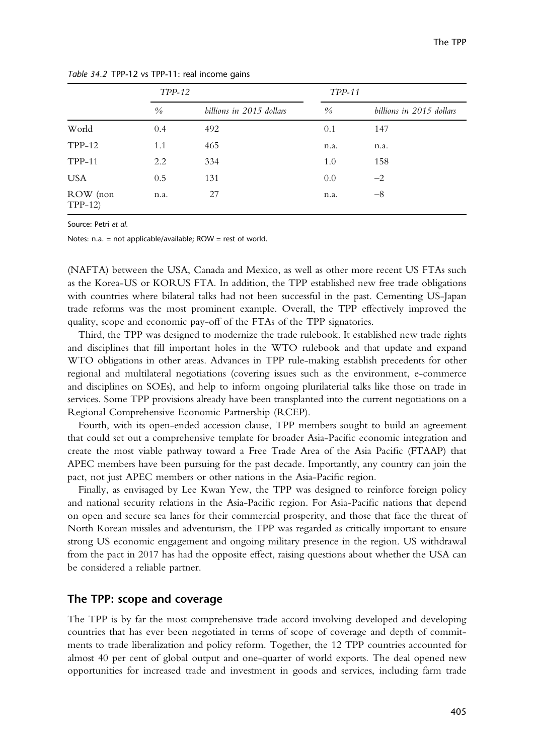|                      | <b>TPP-12</b> |                          | TPP-11        |                          |
|----------------------|---------------|--------------------------|---------------|--------------------------|
|                      | $\frac{0}{0}$ | billions in 2015 dollars | $\frac{0}{0}$ | billions in 2015 dollars |
| World                | 0.4           | 492                      | 0.1           | 147                      |
| $TPP-12$             | 1.1           | 465                      | n.a.          | n.a.                     |
| $TPP-11$             | 2.2           | 334                      | 1.0           | 158                      |
| <b>USA</b>           | 0.5           | 131                      | 0.0           | $-2$                     |
| ROW (non<br>$TPP-12$ | n.a.          | 27                       | n.a.          | $-8$                     |

Table 34.2 TPP-12 vs TPP-11: real income gains

Source: Petri et al.

Notes: n.a. = not applicable/available; ROW = rest of world.

(NAFTA) between the USA, Canada and Mexico, as well as other more recent US FTAs such as the Korea-US or KORUS FTA. In addition, the TPP established new free trade obligations with countries where bilateral talks had not been successful in the past. Cementing US-Japan trade reforms was the most prominent example. Overall, the TPP effectively improved the quality, scope and economic pay-off of the FTAs of the TPP signatories.

Third, the TPP was designed to modernize the trade rulebook. It established new trade rights and disciplines that fill important holes in the WTO rulebook and that update and expand WTO obligations in other areas. Advances in TPP rule-making establish precedents for other regional and multilateral negotiations (covering issues such as the environment, e-commerce and disciplines on SOEs), and help to inform ongoing plurilaterial talks like those on trade in services. Some TPP provisions already have been transplanted into the current negotiations on a Regional Comprehensive Economic Partnership (RCEP).

Fourth, with its open-ended accession clause, TPP members sought to build an agreement that could set out a comprehensive template for broader Asia-Pacific economic integration and create the most viable pathway toward a Free Trade Area of the Asia Pacific (FTAAP) that APEC members have been pursuing for the past decade. Importantly, any country can join the pact, not just APEC members or other nations in the Asia-Pacific region.

Finally, as envisaged by Lee Kwan Yew, the TPP was designed to reinforce foreign policy and national security relations in the Asia-Pacific region. For Asia-Pacific nations that depend on open and secure sea lanes for their commercial prosperity, and those that face the threat of North Korean missiles and adventurism, the TPP was regarded as critically important to ensure strong US economic engagement and ongoing military presence in the region. US withdrawal from the pact in 2017 has had the opposite effect, raising questions about whether the USA can be considered a reliable partner.

#### The TPP: scope and coverage

The TPP is by far the most comprehensive trade accord involving developed and developing countries that has ever been negotiated in terms of scope of coverage and depth of commitments to trade liberalization and policy reform. Together, the 12 TPP countries accounted for almost 40 per cent of global output and one-quarter of world exports. The deal opened new opportunities for increased trade and investment in goods and services, including farm trade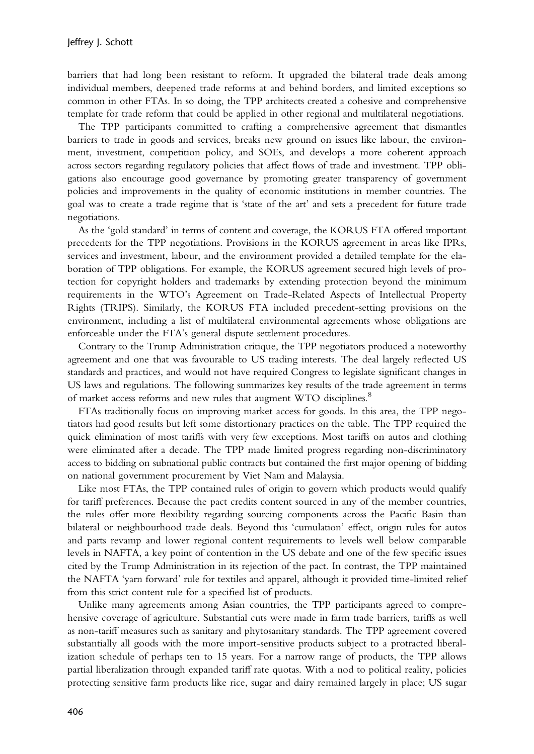<span id="page-5-0"></span>barriers that had long been resistant to reform. It upgraded the bilateral trade deals among individual members, deepened trade reforms at and behind borders, and limited exceptions so common in other FTAs. In so doing, the TPP architects created a cohesive and comprehensive template for trade reform that could be applied in other regional and multilateral negotiations.

The TPP participants committed to crafting a comprehensive agreement that dismantles barriers to trade in goods and services, breaks new ground on issues like labour, the environment, investment, competition policy, and SOEs, and develops a more coherent approach across sectors regarding regulatory policies that affect flows of trade and investment. TPP obligations also encourage good governance by promoting greater transparency of government policies and improvements in the quality of economic institutions in member countries. The goal was to create a trade regime that is 'state of the art' and sets a precedent for future trade negotiations.

As the 'gold standard' in terms of content and coverage, the KORUS FTA offered important precedents for the TPP negotiations. Provisions in the KORUS agreement in areas like IPRs, services and investment, labour, and the environment provided a detailed template for the elaboration of TPP obligations. For example, the KORUS agreement secured high levels of protection for copyright holders and trademarks by extending protection beyond the minimum requirements in the WTO's Agreement on Trade-Related Aspects of Intellectual Property Rights (TRIPS). Similarly, the KORUS FTA included precedent-setting provisions on the environment, including a list of multilateral environmental agreements whose obligations are enforceable under the FTA's general dispute settlement procedures.

Contrary to the Trump Administration critique, the TPP negotiators produced a noteworthy agreement and one that was favourable to US trading interests. The deal largely reflected US standards and practices, and would not have required Congress to legislate significant changes in US laws and regulations. The following summarizes key results of the trade agreement in terms of market access reforms and new rules that augment WTO disciplines.<sup>[8](#page-10-0)</sup>

FTAs traditionally focus on improving market access for goods. In this area, the TPP negotiators had good results but left some distortionary practices on the table. The TPP required the quick elimination of most tariffs with very few exceptions. Most tariffs on autos and clothing were eliminated after a decade. The TPP made limited progress regarding non-discriminatory access to bidding on subnational public contracts but contained the first major opening of bidding on national government procurement by Viet Nam and Malaysia.

Like most FTAs, the TPP contained rules of origin to govern which products would qualify for tariff preferences. Because the pact credits content sourced in any of the member countries, the rules offer more flexibility regarding sourcing components across the Pacific Basin than bilateral or neighbourhood trade deals. Beyond this 'cumulation' effect, origin rules for autos and parts revamp and lower regional content requirements to levels well below comparable levels in NAFTA, a key point of contention in the US debate and one of the few specific issues cited by the Trump Administration in its rejection of the pact. In contrast, the TPP maintained the NAFTA 'yarn forward' rule for textiles and apparel, although it provided time-limited relief from this strict content rule for a specified list of products.

Unlike many agreements among Asian countries, the TPP participants agreed to comprehensive coverage of agriculture. Substantial cuts were made in farm trade barriers, tariffs as well as non-tariff measures such as sanitary and phytosanitary standards. The TPP agreement covered substantially all goods with the more import-sensitive products subject to a protracted liberalization schedule of perhaps ten to 15 years. For a narrow range of products, the TPP allows partial liberalization through expanded tariff rate quotas. With a nod to political reality, policies protecting sensitive farm products like rice, sugar and dairy remained largely in place; US sugar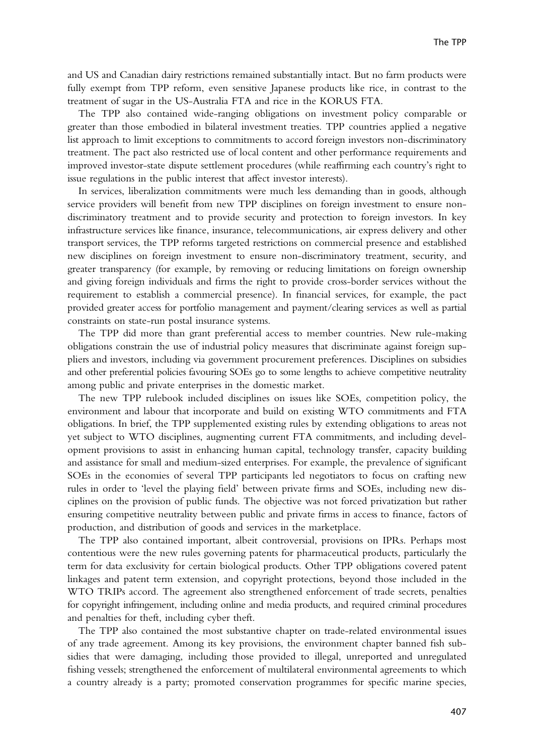and US and Canadian dairy restrictions remained substantially intact. But no farm products were fully exempt from TPP reform, even sensitive Japanese products like rice, in contrast to the treatment of sugar in the US-Australia FTA and rice in the KORUS FTA.

The TPP also contained wide-ranging obligations on investment policy comparable or greater than those embodied in bilateral investment treaties. TPP countries applied a negative list approach to limit exceptions to commitments to accord foreign investors non-discriminatory treatment. The pact also restricted use of local content and other performance requirements and improved investor-state dispute settlement procedures (while reaffirming each country's right to issue regulations in the public interest that affect investor interests).

In services, liberalization commitments were much less demanding than in goods, although service providers will benefit from new TPP disciplines on foreign investment to ensure nondiscriminatory treatment and to provide security and protection to foreign investors. In key infrastructure services like finance, insurance, telecommunications, air express delivery and other transport services, the TPP reforms targeted restrictions on commercial presence and established new disciplines on foreign investment to ensure non-discriminatory treatment, security, and greater transparency (for example, by removing or reducing limitations on foreign ownership and giving foreign individuals and firms the right to provide cross-border services without the requirement to establish a commercial presence). In financial services, for example, the pact provided greater access for portfolio management and payment/clearing services as well as partial constraints on state-run postal insurance systems.

The TPP did more than grant preferential access to member countries. New rule-making obligations constrain the use of industrial policy measures that discriminate against foreign suppliers and investors, including via government procurement preferences. Disciplines on subsidies and other preferential policies favouring SOEs go to some lengths to achieve competitive neutrality among public and private enterprises in the domestic market.

The new TPP rulebook included disciplines on issues like SOEs, competition policy, the environment and labour that incorporate and build on existing WTO commitments and FTA obligations. In brief, the TPP supplemented existing rules by extending obligations to areas not yet subject to WTO disciplines, augmenting current FTA commitments, and including development provisions to assist in enhancing human capital, technology transfer, capacity building and assistance for small and medium-sized enterprises. For example, the prevalence of significant SOEs in the economies of several TPP participants led negotiators to focus on crafting new rules in order to 'level the playing field' between private firms and SOEs, including new disciplines on the provision of public funds. The objective was not forced privatization but rather ensuring competitive neutrality between public and private firms in access to finance, factors of production, and distribution of goods and services in the marketplace.

The TPP also contained important, albeit controversial, provisions on IPRs. Perhaps most contentious were the new rules governing patents for pharmaceutical products, particularly the term for data exclusivity for certain biological products. Other TPP obligations covered patent linkages and patent term extension, and copyright protections, beyond those included in the WTO TRIPs accord. The agreement also strengthened enforcement of trade secrets, penalties for copyright infringement, including online and media products, and required criminal procedures and penalties for theft, including cyber theft.

The TPP also contained the most substantive chapter on trade-related environmental issues of any trade agreement. Among its key provisions, the environment chapter banned fish subsidies that were damaging, including those provided to illegal, unreported and unregulated fishing vessels; strengthened the enforcement of multilateral environmental agreements to which a country already is a party; promoted conservation programmes for specific marine species,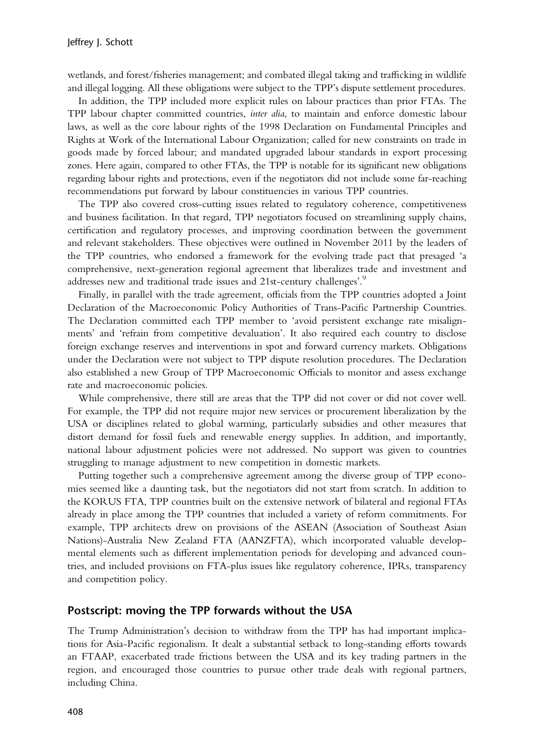<span id="page-7-0"></span>wetlands, and forest/fisheries management; and combated illegal taking and trafficking in wildlife and illegal logging. All these obligations were subject to the TPP's dispute settlement procedures.

In addition, the TPP included more explicit rules on labour practices than prior FTAs. The TPP labour chapter committed countries, inter alia, to maintain and enforce domestic labour laws, as well as the core labour rights of the 1998 Declaration on Fundamental Principles and Rights at Work of the International Labour Organization; called for new constraints on trade in goods made by forced labour; and mandated upgraded labour standards in export processing zones. Here again, compared to other FTAs, the TPP is notable for its significant new obligations regarding labour rights and protections, even if the negotiators did not include some far-reaching recommendations put forward by labour constituencies in various TPP countries.

The TPP also covered cross-cutting issues related to regulatory coherence, competitiveness and business facilitation. In that regard, TPP negotiators focused on streamlining supply chains, certification and regulatory processes, and improving coordination between the government and relevant stakeholders. These objectives were outlined in November 2011 by the leaders of the TPP countries, who endorsed a framework for the evolving trade pact that presaged 'a comprehensive, next-generation regional agreement that liberalizes trade and investment and addresses new and traditional trade issues and 21st-century challenges'.<sup>[9](#page-10-0)</sup>

Finally, in parallel with the trade agreement, officials from the TPP countries adopted a Joint Declaration of the Macroeconomic Policy Authorities of Trans-Pacific Partnership Countries. The Declaration committed each TPP member to 'avoid persistent exchange rate misalignments' and 'refrain from competitive devaluation'. It also required each country to disclose foreign exchange reserves and interventions in spot and forward currency markets. Obligations under the Declaration were not subject to TPP dispute resolution procedures. The Declaration also established a new Group of TPP Macroeconomic Officials to monitor and assess exchange rate and macroeconomic policies.

While comprehensive, there still are areas that the TPP did not cover or did not cover well. For example, the TPP did not require major new services or procurement liberalization by the USA or disciplines related to global warming, particularly subsidies and other measures that distort demand for fossil fuels and renewable energy supplies. In addition, and importantly, national labour adjustment policies were not addressed. No support was given to countries struggling to manage adjustment to new competition in domestic markets.

Putting together such a comprehensive agreement among the diverse group of TPP economies seemed like a daunting task, but the negotiators did not start from scratch. In addition to the KORUS FTA, TPP countries built on the extensive network of bilateral and regional FTAs already in place among the TPP countries that included a variety of reform commitments. For example, TPP architects drew on provisions of the ASEAN (Association of Southeast Asian Nations)-Australia New Zealand FTA (AANZFTA), which incorporated valuable developmental elements such as different implementation periods for developing and advanced countries, and included provisions on FTA-plus issues like regulatory coherence, IPRs, transparency and competition policy.

#### Postscript: moving the TPP forwards without the USA

The Trump Administration's decision to withdraw from the TPP has had important implications for Asia-Pacific regionalism. It dealt a substantial setback to long-standing efforts towards an FTAAP, exacerbated trade frictions between the USA and its key trading partners in the region, and encouraged those countries to pursue other trade deals with regional partners, including China.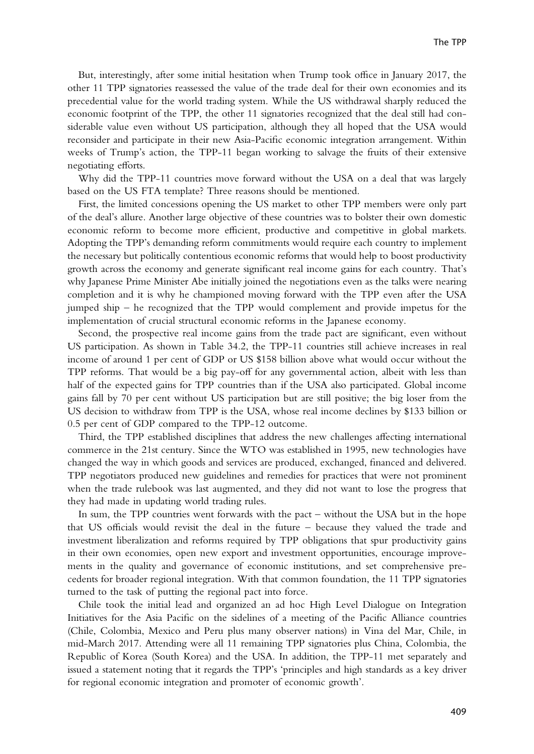But, interestingly, after some initial hesitation when Trump took office in January 2017, the other 11 TPP signatories reassessed the value of the trade deal for their own economies and its precedential value for the world trading system. While the US withdrawal sharply reduced the economic footprint of the TPP, the other 11 signatories recognized that the deal still had considerable value even without US participation, although they all hoped that the USA would reconsider and participate in their new Asia-Pacific economic integration arrangement. Within weeks of Trump's action, the TPP-11 began working to salvage the fruits of their extensive negotiating efforts.

Why did the TPP-11 countries move forward without the USA on a deal that was largely based on the US FTA template? Three reasons should be mentioned.

First, the limited concessions opening the US market to other TPP members were only part of the deal's allure. Another large objective of these countries was to bolster their own domestic economic reform to become more efficient, productive and competitive in global markets. Adopting the TPP's demanding reform commitments would require each country to implement the necessary but politically contentious economic reforms that would help to boost productivity growth across the economy and generate significant real income gains for each country. That's why Japanese Prime Minister Abe initially joined the negotiations even as the talks were nearing completion and it is why he championed moving forward with the TPP even after the USA jumped ship – he recognized that the TPP would complement and provide impetus for the implementation of crucial structural economic reforms in the Japanese economy.

Second, the prospective real income gains from the trade pact are significant, even without US participation. As shown in Table 34.2, the TPP-11 countries still achieve increases in real income of around 1 per cent of GDP or US \$158 billion above what would occur without the TPP reforms. That would be a big pay-off for any governmental action, albeit with less than half of the expected gains for TPP countries than if the USA also participated. Global income gains fall by 70 per cent without US participation but are still positive; the big loser from the US decision to withdraw from TPP is the USA, whose real income declines by \$133 billion or 0.5 per cent of GDP compared to the TPP-12 outcome.

Third, the TPP established disciplines that address the new challenges affecting international commerce in the 21st century. Since the WTO was established in 1995, new technologies have changed the way in which goods and services are produced, exchanged, financed and delivered. TPP negotiators produced new guidelines and remedies for practices that were not prominent when the trade rulebook was last augmented, and they did not want to lose the progress that they had made in updating world trading rules.

In sum, the TPP countries went forwards with the pact – without the USA but in the hope that US officials would revisit the deal in the future – because they valued the trade and investment liberalization and reforms required by TPP obligations that spur productivity gains in their own economies, open new export and investment opportunities, encourage improvements in the quality and governance of economic institutions, and set comprehensive precedents for broader regional integration. With that common foundation, the 11 TPP signatories turned to the task of putting the regional pact into force.

Chile took the initial lead and organized an ad hoc High Level Dialogue on Integration Initiatives for the Asia Pacific on the sidelines of a meeting of the Pacific Alliance countries (Chile, Colombia, Mexico and Peru plus many observer nations) in Vina del Mar, Chile, in mid-March 2017. Attending were all 11 remaining TPP signatories plus China, Colombia, the Republic of Korea (South Korea) and the USA. In addition, the TPP-11 met separately and issued a statement noting that it regards the TPP's 'principles and high standards as a key driver for regional economic integration and promoter of economic growth'.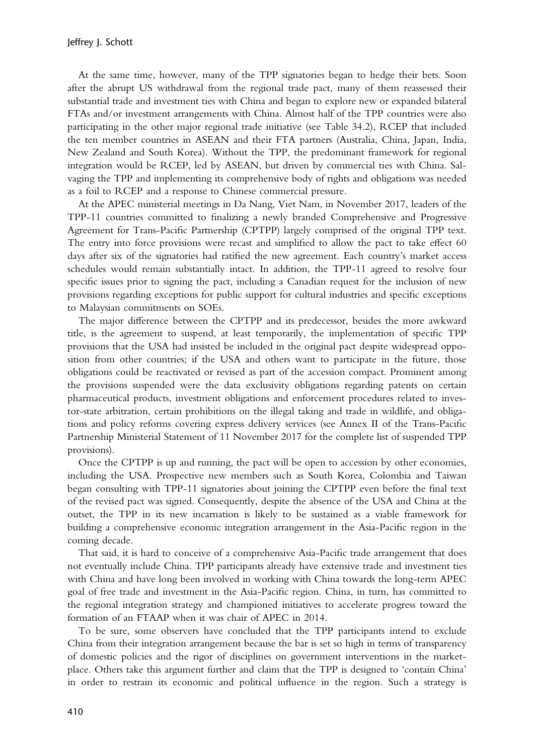At the same time, however, many of the TPP signatories began to hedge their bets. Soon after the abrupt US withdrawal from the regional trade pact, many of them reassessed their substantial trade and investment ties with China and began to explore new or expanded bilateral FTAs and/or investment arrangements with China. Almost half of the TPP countries were also participating in the other major regional trade initiative (see Table 34.2), RCEP that included the ten member countries in ASEAN and their FTA partners (Australia, China, Japan, India, New Zealand and South Korea). Without the TPP, the predominant framework for regional integration would be RCEP, led by ASEAN, but driven by commercial ties with China. Salvaging the TPP and implementing its comprehensive body of rights and obligations was needed as a foil to RCEP and a response to Chinese commercial pressure.

At the APEC ministerial meetings in Da Nang, Viet Nam, in November 2017, leaders of the TPP-11 countries committed to finalizing a newly branded Comprehensive and Progressive Agreement for Trans-Pacific Partnership (CPTPP) largely comprised of the original TPP text. The entry into force provisions were recast and simplified to allow the pact to take effect 60 days after six of the signatories had ratified the new agreement. Each country's market access schedules would remain substantially intact. In addition, the TPP-11 agreed to resolve four specific issues prior to signing the pact, including a Canadian request for the inclusion of new provisions regarding exceptions for public support for cultural industries and specific exceptions to Malaysian commitments on SOEs.

The major difference between the CPTPP and its predecessor, besides the more awkward title, is the agreement to suspend, at least temporarily, the implementation of specific TPP provisions that the USA had insisted be included in the original pact despite widespread opposition from other countries; if the USA and others want to participate in the future, those obligations could be reactivated or revised as part of the accession compact. Prominent among the provisions suspended were the data exclusivity obligations regarding patents on certain pharmaceutical products, investment obligations and enforcement procedures related to investor-state arbitration, certain prohibitions on the illegal taking and trade in wildlife, and obligations and policy reforms covering express delivery services (see Annex II of the Trans-Pacific Partnership Ministerial Statement of 11 November 2017 for the complete list of suspended TPP provisions).

Once the CPTPP is up and running, the pact will be open to accession by other economies, including the USA. Prospective new members such as South Korea, Colombia and Taiwan began consulting with TPP-11 signatories about joining the CPTPP even before the final text of the revised pact was signed. Consequently, despite the absence of the USA and China at the outset, the TPP in its new incarnation is likely to be sustained as a viable framework for building a comprehensive economic integration arrangement in the Asia-Pacific region in the coming decade.

That said, it is hard to conceive of a comprehensive Asia-Pacific trade arrangement that does not eventually include China. TPP participants already have extensive trade and investment ties with China and have long been involved in working with China towards the long-term APEC goal of free trade and investment in the Asia-Pacific region. China, in turn, has committed to the regional integration strategy and championed initiatives to accelerate progress toward the formation of an FTAAP when it was chair of APEC in 2014.

To be sure, some observers have concluded that the TPP participants intend to exclude China from their integration arrangement because the bar is set so high in terms of transparency of domestic policies and the rigor of disciplines on government interventions in the marketplace. Others take this argument further and claim that the TPP is designed to 'contain China' in order to restrain its economic and political influence in the region. Such a strategy is